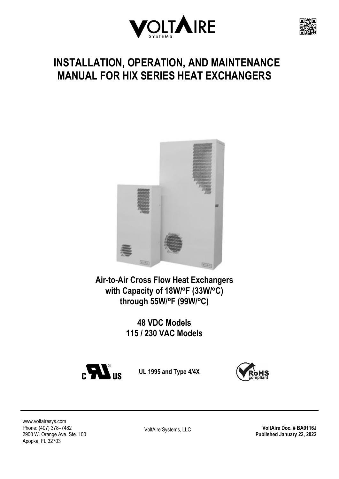



# **INSTALLATION, OPERATION, AND MAINTENANCE MANUAL FOR HIX SERIES HEAT EXCHANGERS**



**Air-to-Air Cross Flow Heat Exchangers with Capacity of 18W/ºF (33W/ºC) through 55W/ºF (99W/ºC)**

> **48 VDC Models 115 / 230 VAC Models**



**UL 1995 and Type 4/4X**



[www.voltairesys.com](http://www.voltairesys.com/) Phone: (407) 378–7482 2900 W. Orange Ave. Ste. 100 Apopka, FL 32703

VoltAire Systems, LLC **VoltAire Doc. # BA0116J Published January 22, 2022**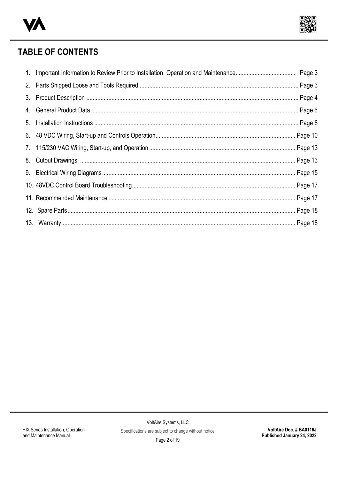



## **TABLE OF CONTENTS**

<span id="page-1-10"></span><span id="page-1-9"></span><span id="page-1-8"></span><span id="page-1-7"></span><span id="page-1-6"></span><span id="page-1-5"></span><span id="page-1-4"></span><span id="page-1-3"></span><span id="page-1-2"></span><span id="page-1-1"></span><span id="page-1-0"></span>

| 3. |  |
|----|--|
|    |  |
|    |  |
|    |  |
|    |  |
|    |  |
|    |  |
|    |  |
|    |  |
|    |  |
|    |  |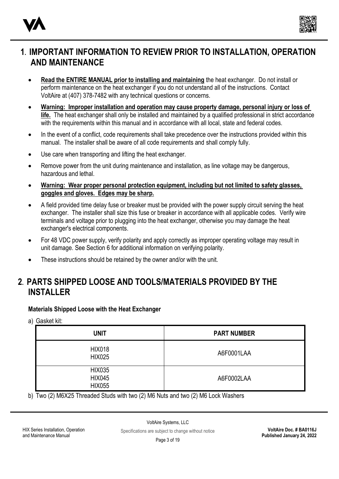



### **[1](#page-1-0). IMPORTANT INFORMATION TO REVIEW PRIOR TO INSTALLATION, OPERATION AND MAINTENANCE**

- **Read the ENTIRE MANUAL prior to installing and maintaining** the heat exchanger. Do not install or perform maintenance on the heat exchanger if you do not understand all of the instructions. Contact VoltAire at (407) 378-7482 with any technical questions or concerns.
- **Warning: Improper installation and operation may cause property damage, personal injury or loss of life.** The heat exchanger shall only be installed and maintained by a qualified professional in strict accordance with the requirements within this manual and in accordance with all local, state and federal codes.
- In the event of a conflict, code requirements shall take precedence over the instructions provided within this manual. The installer shall be aware of all code requirements and shall comply fully.
- Use care when transporting and lifting the heat exchanger.
- Remove power from the unit during maintenance and installation, as line voltage may be dangerous, hazardous and lethal.
- **Warning: Wear proper personal protection equipment, including but not limited to safety glasses, goggles and gloves. Edges may be sharp.**
- A field provided time delay fuse or breaker must be provided with the power supply circuit serving the heat exchanger. The installer shall size this fuse or breaker in accordance with all applicable codes. Verify wire terminals and voltage prior to plugging into the heat exchanger, otherwise you may damage the heat exchanger's electrical components.
- For 48 VDC power supply, verify polarity and apply correctly as improper operating voltage may result in unit damage. See Section 6 for additional information on verifying polarity.
- These instructions should be retained by the owner and/or with the unit.

### **[2](#page-1-1). PARTS SHIPPED LOOSE AND TOOLS/MATERIALS PROVIDED BY THE INSTALLER**

#### **Materials Shipped Loose with the Heat Exchanger**

a) Gasket kit:

| <b>UNIT</b>                                     | <b>PART NUMBER</b> |
|-------------------------------------------------|--------------------|
| <b>HIX018</b><br><b>HIX025</b>                  | A6F0001LAA         |
| <b>HIX035</b><br><b>HIX045</b><br><b>HIX055</b> | A6F0002LAA         |

b) Two (2) M6X25 Threaded Studs with two (2) M6 Nuts and two (2) M6 Lock Washers

HIX Series Installation, Operation and Maintenance Manual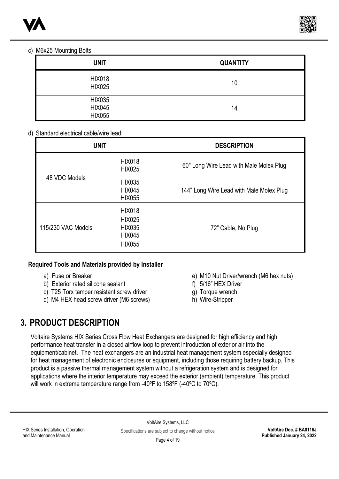



#### c) M6x25 Mounting Bolts:

| <b>UNIT</b>                                     | <b>QUANTITY</b> |
|-------------------------------------------------|-----------------|
| <b>HIX018</b><br><b>HIX025</b>                  | 10              |
| <b>HIX035</b><br><b>HIX045</b><br><b>HIX055</b> | 14              |

#### d) Standard electrical cable/wire lead:

| <b>UNIT</b>        |                                                                                   | <b>DESCRIPTION</b>                       |  |
|--------------------|-----------------------------------------------------------------------------------|------------------------------------------|--|
| 48 VDC Models      | <b>HIX018</b><br><b>HIX025</b>                                                    | 60" Long Wire Lead with Male Molex Plug  |  |
|                    | <b>HIX035</b><br><b>HIX045</b><br><b>HIX055</b>                                   | 144" Long Wire Lead with Male Molex Plug |  |
| 115/230 VAC Models | <b>HIX018</b><br><b>HIX025</b><br><b>HIX035</b><br><b>HIX045</b><br><b>HIX055</b> | 72" Cable, No Plug                       |  |

#### **Required Tools and Materials provided by Installer**

- a) Fuse or Breaker
- b) Exterior rated silicone sealant
- c) T25 Torx tamper resistant screw driver
- d) M4 HEX head screw driver (M6 screws)
- e) M10 Nut Driver/wrench (M6 hex nuts)
- f) 5/16" HEX Driver
- g) Torque wrench
- h) Wire-Stripper

### **[3.](#page-1-2) PRODUCT DESCRIPTION**

Voltaire Systems HIX Series Cross Flow Heat Exchangers are designed for high efficiency and high performance heat transfer in a closed airflow loop to prevent introduction of exterior air into the equipment/cabinet. The heat exchangers are an industrial heat management system especially designed for heat management of electronic enclosures or equipment, including those requiring battery backup. This product is a passive thermal management system without a refrigeration system and is designed for applications where the interior temperature may exceed the exterior (ambient) temperature. This product will work in extreme temperature range from -40ºF to 158ºF (-40ºC to 70ºC).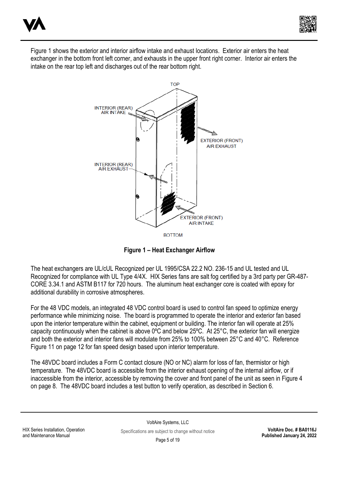



Figure 1 shows the exterior and interior airflow intake and exhaust locations. Exterior air enters the heat exchanger in the bottom front left corner, and exhausts in the upper front right corner. Interior air enters the intake on the rear top left and discharges out of the rear bottom right.



**Figure 1 – Heat Exchanger Airflow**

The heat exchangers are UL/cUL Recognized per UL 1995/CSA 22.2 NO. 236-15 and UL tested and UL Recognized for compliance with UL Type 4/4X. HIX Series fans are salt fog certified by a 3rd party per GR-487- CORE 3.34.1 and ASTM B117 for 720 hours. The aluminum heat exchanger core is coated with epoxy for additional durability in corrosive atmospheres.

For the 48 VDC models, an integrated 48 VDC control board is used to control fan speed to optimize energy performance while minimizing noise. The board is programmed to operate the interior and exterior fan based upon the interior temperature within the cabinet, equipment or building. The interior fan will operate at 25% capacity continuously when the cabinet is above 0ºC and below 25ºC. At 25°C, the exterior fan will energize and both the exterior and interior fans will modulate from 25% to 100% between 25°C and 40°C. Reference Figure 11 on page 12 for fan speed design based upon interior temperature.

The 48VDC board includes a Form C contact closure (NO or NC) alarm for loss of fan, thermistor or high temperature. The 48VDC board is accessible from the interior exhaust opening of the internal airflow, or if inaccessible from the interior, accessible by removing the cover and front panel of the unit as seen in Figure 4 on page 8. The 48VDC board includes a test button to verify operation, as described in Section 6.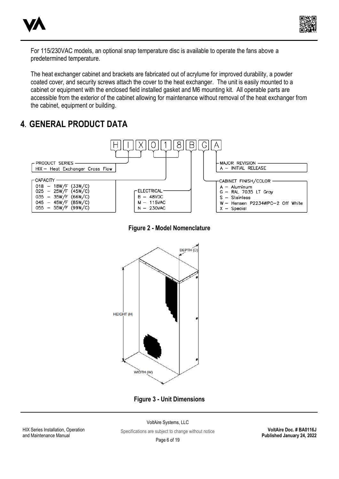



For 115/230VAC models, an optional snap temperature disc is available to operate the fans above a predetermined temperature.

The heat exchanger cabinet and brackets are fabricated out of acrylume for improved durability, a powder coated cover, and security screws attach the cover to the heat exchanger. The unit is easily mounted to a cabinet or equipment with the enclosed field installed gasket and M6 mounting kit. All operable parts are accessible from the exterior of the cabinet allowing for maintenance without removal of the heat exchanger from the cabinet, equipment or building.

### **[4](#page-1-3). GENERAL PRODUCT DATA**



**Figure 2 - Model Nomenclature**



**Figure 3 - Unit Dimensions**

HIX Series Installation, Operation and Maintenance Manual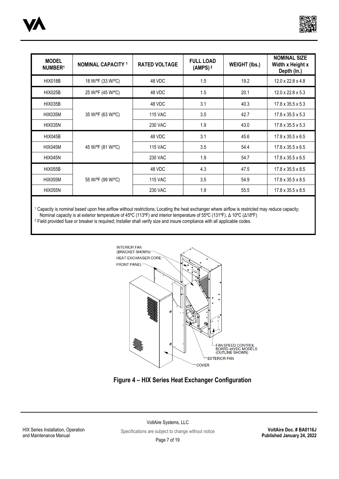



| <b>MODEL</b><br>NUMBER <sup>1</sup> | <b>NOMINAL CAPACITY 1</b> | <b>RATED VOLTAGE</b> | <b>FULL LOAD</b><br>(AMPS) <sup>2</sup> | <b>WEIGHT (lbs.)</b> | <b>NOMINAL SIZE</b><br>Width x Height x<br>Depth (in.) |
|-------------------------------------|---------------------------|----------------------|-----------------------------------------|----------------------|--------------------------------------------------------|
| <b>HIX018B</b>                      | 18 W/ºF (33 W/ºC)         | 48 VDC               | 1.5                                     | 19.2                 | $12.0 \times 22.8 \times 4.8$                          |
| <b>HIX025B</b>                      | 25 W/ºF (45 W/ºC)         | 48 VDC               | 1.5                                     | 20.1                 | $12.0 \times 22.8 \times 5.3$                          |
| <b>HIX035B</b>                      | 35 W/°F (63 W/°C)         | 48 VDC               | 3.1                                     | 40.3                 | $17.8 \times 35.5 \times 5.3$                          |
| <b>HIX035M</b>                      |                           | <b>115 VAC</b>       | 3.5                                     | 42.7                 | $17.8 \times 35.5 \times 5.3$                          |
| <b>HIX035N</b>                      |                           | <b>230 VAC</b>       | 1.9                                     | 43.0                 | $17.8 \times 35.5 \times 5.3$                          |
| <b>HIX045B</b>                      | 45 W/ºF (81 W/ºC)         | 48 VDC               | 3.1                                     | 45.6                 | $17.8 \times 35.5 \times 6.5$                          |
| HIX045M                             |                           | <b>115 VAC</b>       | 3.5                                     | 54.4                 | $17.8 \times 35.5 \times 6.5$                          |
| <b>HIX045N</b>                      |                           | <b>230 VAC</b>       | 1.9                                     | 54.7                 | $17.8 \times 35.5 \times 6.5$                          |
| <b>HIX055B</b>                      | 55 W/°F (99 W/°C)         | 48 VDC               | 4.3                                     | 47.5                 | $17.8 \times 35.5 \times 8.5$                          |
| <b>HIX055M</b>                      |                           | <b>115 VAC</b>       | 3.5                                     | 54.9                 | $17.8 \times 35.5 \times 8.5$                          |
| <b>HIX055N</b>                      |                           | <b>230 VAC</b>       | 1.9                                     | 55.5                 | $17.8 \times 35.5 \times 8.5$                          |

<sup>1</sup> Capacity is nominal based upon free airflow without restrictions; Locating the heat exchanger where airflow is restricted may reduce capacity; Nominal capacity is at exterior temperature of 45ºC (113ºF) and interior temperature of 55ºC (131ºF), Δ 10ºC (Δ18ºF)

<sup>2</sup> Field provided fuse or breaker is required; Installer shall verify size and insure compliance with all applicable codes.



### **Figure 4 – HIX Series Heat Exchanger Configuration**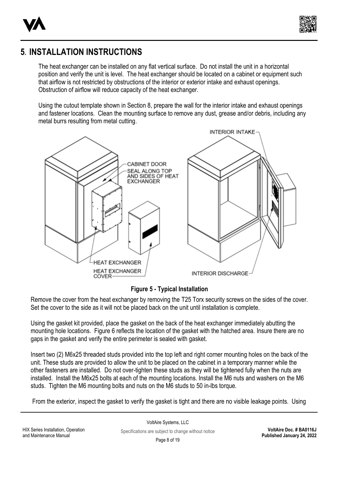



### **[5](#page-1-4). INSTALLATION INSTRUCTIONS**

The heat exchanger can be installed on any flat vertical surface. Do not install the unit in a horizontal position and verify the unit is level. The heat exchanger should be located on a cabinet or equipment such that airflow is not restricted by obstructions of the interior or exterior intake and exhaust openings. Obstruction of airflow will reduce capacity of the heat exchanger.

Using the cutout template shown in Section 8, prepare the wall for the interior intake and exhaust openings and fastener locations. Clean the mounting surface to remove any dust, grease and/or debris, including any metal burrs resulting from metal cutting.



**Figure 5 - Typical Installation**

Remove the cover from the heat exchanger by removing the T25 Torx security screws on the sides of the cover. Set the cover to the side as it will not be placed back on the unit until installation is complete.

Using the gasket kit provided, place the gasket on the back of the heat exchanger immediately abutting the mounting hole locations. Figure 6 reflects the location of the gasket with the hatched area. Insure there are no gaps in the gasket and verify the entire perimeter is sealed with gasket.

Insert two (2) M6x25 threaded studs provided into the top left and right corner mounting holes on the back of the unit. These studs are provided to allow the unit to be placed on the cabinet in a temporary manner while the other fasteners are installed. Do not over-tighten these studs as they will be tightened fully when the nuts are installed. Install the M6x25 bolts at each of the mounting locations. Install the M6 nuts and washers on the M6 studs. Tighten the M6 mounting bolts and nuts on the M6 studs to 50 in-lbs torque.

From the exterior, inspect the gasket to verify the gasket is tight and there are no visible leakage points. Using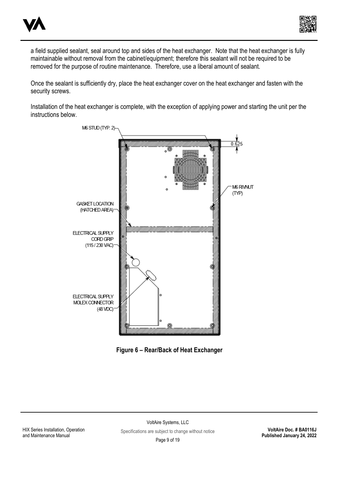



a field supplied sealant, seal around top and sides of the heat exchanger. Note that the heat exchanger is fully maintainable without removal from the cabinet/equipment; therefore this sealant will not be required to be removed for the purpose of routine maintenance. Therefore, use a liberal amount of sealant.

Once the sealant is sufficiently dry, place the heat exchanger cover on the heat exchanger and fasten with the security screws.

Installation of the heat exchanger is complete, with the exception of applying power and starting the unit per the instructions below.



**Figure 6 – Rear/Back of Heat Exchanger**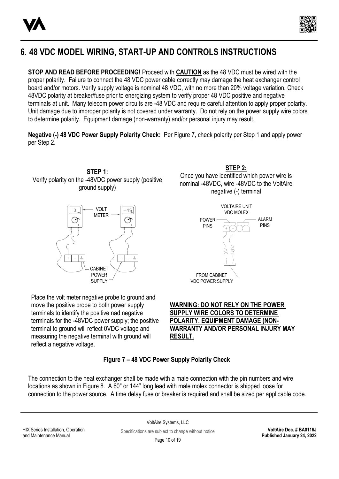



## **[6](#page-1-5). 48 VDC MODEL WIRING, START-UP AND CONTROLS INSTRUCTIONS**

**STOP AND READ BEFORE PROCEEDING!** Proceed with **CAUTION** as the 48 VDC must be wired with the proper polarity. Failure to connect the 48 VDC power cable correctly may damage the heat exchanger control board and/or motors. Verify supply voltage is nominal 48 VDC, with no more than 20% voltage variation. Check 48VDC polarity at breaker/fuse prior to energizing system to verify proper 48 VDC positive and negative terminals at unit. Many telecom power circuits are -48 VDC and require careful attention to apply proper polarity. Unit damage due to improper polarity is not covered under warranty. Do not rely on the power supply wire colors to determine polarity. Equipment damage (non-warranty) and/or personal injury may result.

**Negative (-) 48 VDC Power Supply Polarity Check:** Per Figure 7, check polarity per Step 1 and apply power per Step 2.





Place the volt meter negative probe to ground and move the positive probe to both power supply terminals to identify the positive nad negative terminals for the -48VDC power supply; the positive terminal to ground will reflect 0VDC voltage and measuring the negative terminal with ground will reflect a negative voltage.

**STEP 2:** Once you have identified which power wire is nominal -48VDC, wire -48VDC to the VoltAire negative (-) terminal



### **WARNING: DO NOT RELY ON THE POWER SUPPLY WIRE COLORS TO DETERMINE POLARITY. EQUIPMENT DAMAGE (NON-WARRANTY AND/OR PERSONAL INJURY MAY RESULT.**

### **Figure 7 – 48 VDC Power Supply Polarity Check**

The connection to the heat exchanger shall be made with a male connection with the pin numbers and wire locations as shown in Figure 8. A 60" or 144" long lead with male molex connector is shipped loose for connection to the power source. A time delay fuse or breaker is required and shall be sized per applicable code.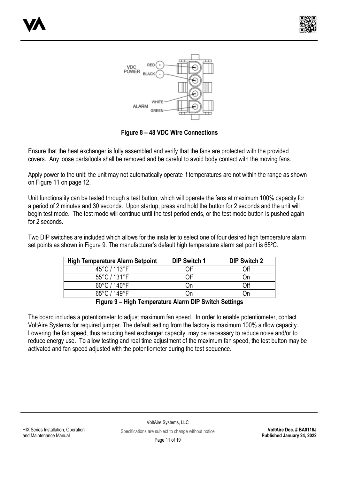



**Figure 8 – 48 VDC Wire Connections**

Ensure that the heat exchanger is fully assembled and verify that the fans are protected with the provided covers. Any loose parts/tools shall be removed and be careful to avoid body contact with the moving fans.

Apply power to the unit: the unit may not automatically operate if temperatures are not within the range as shown on Figure 11 on page 12.

Unit functionality can be tested through a test button, which will operate the fans at maximum 100% capacity for a period of 2 minutes and 30 seconds. Upon startup, press and hold the button for 2 seconds and the unit will begin test mode. The test mode will continue until the test period ends, or the test mode button is pushed again for 2 seconds.

Two DIP switches are included which allows for the installer to select one of four desired high temperature alarm set points as shown in Figure 9. The manufacturer's default high temperature alarm set point is 65ºC.

| <b>High Temperature Alarm Setpoint</b> | <b>DIP Switch 1</b> | <b>DIP Switch 2</b> |
|----------------------------------------|---------------------|---------------------|
| 45°C / 113°F                           | Off                 | Off                 |
| $55^{\circ}$ C / 131 $^{\circ}$ F      | Off                 | Οn                  |
| $60^{\circ}$ C / 140 $^{\circ}$ F      | .)n                 | Off                 |
| 65°C / 149°F                           | .)n                 | .)n                 |
| --<br>-  . -                           | . .                 |                     |

**Figure 9 – High Temperature Alarm DIP Switch Settings**

The board includes a potentiometer to adjust maximum fan speed. In order to enable potentiometer, contact VoltAire Systems for required jumper. The default setting from the factory is maximum 100% airflow capacity. Lowering the fan speed, thus reducing heat exchanger capacity, may be necessary to reduce noise and/or to reduce energy use. To allow testing and real time adjustment of the maximum fan speed, the test button may be activated and fan speed adjusted with the potentiometer during the test sequence.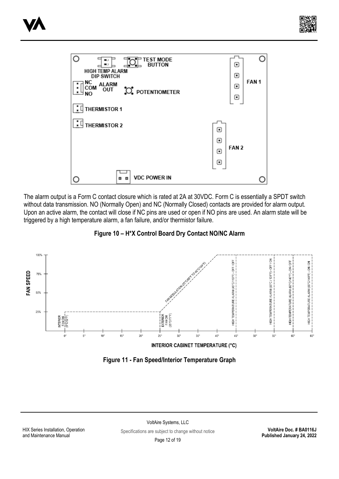





The alarm output is a Form C contact closure which is rated at 2A at 30VDC. Form C is essentially a SPDT switch without data transmission. NO (Normally Open) and NC (Normally Closed) contacts are provided for alarm output. Upon an active alarm, the contact will close if NC pins are used or open if NO pins are used. An alarm state will be triggered by a high temperature alarm, a fan failure, and/or thermistor failure.





**Figure 11 - Fan Speed/Interior Temperature Graph**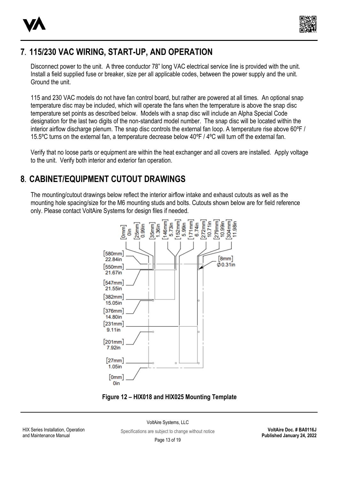



### **[7](#page-1-6). 115/230 VAC WIRING, START-UP, AND OPERATION**

Disconnect power to the unit. A three conductor 78" long VAC electrical service line is provided with the unit. Install a field supplied fuse or breaker, size per all applicable codes, between the power supply and the unit. Ground the unit.

115 and 230 VAC models do not have fan control board, but rather are powered at all times. An optional snap temperature disc may be included, which will operate the fans when the temperature is above the snap disc temperature set points as described below. Models with a snap disc will include an Alpha Special Code designation for the last two digits of the non-standard model number. The snap disc will be located within the interior airflow discharge plenum. The snap disc controls the external fan loop. A temperature rise above 60ºF / 15.5ºC turns on the external fan, a temperature decrease below 40ºF / 4ºC will turn off the external fan.

Verify that no loose parts or equipment are within the heat exchanger and all covers are installed. Apply voltage to the unit. Verify both interior and exterior fan operation.

### **[8](#page-1-7). CABINET/EQUIPMENT CUTOUT DRAWINGS**

The mounting/cutout drawings below reflect the interior airflow intake and exhaust cutouts as well as the mounting hole spacing/size for the M6 mounting studs and bolts. Cutouts shown below are for field reference only. Please contact VoltAire Systems for design files if needed.



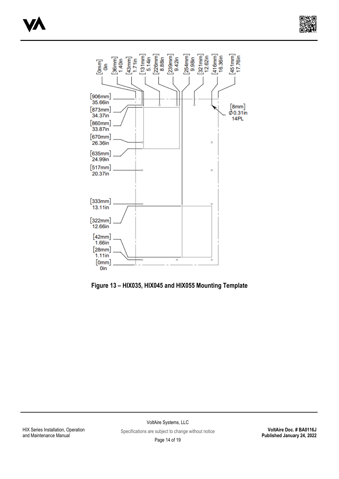



**Figure 13 – HIX035, HIX045 and HIX055 Mounting Template**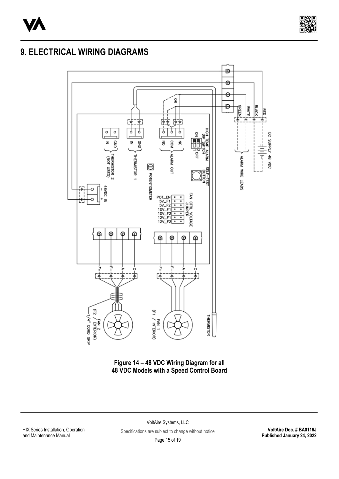



### **9. ELECTRICAL WIRING DIAGRAMS**



**Figure 14 – 48 VDC Wiring Diagram for all 48 VDC Models with a Speed Control Board**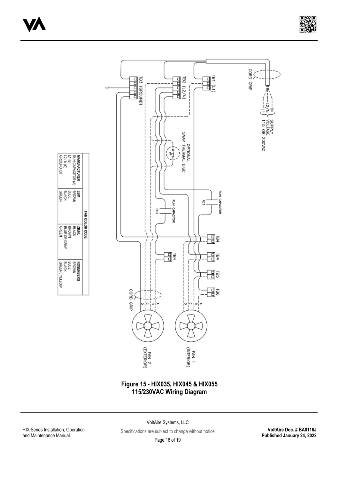



#### **Figure 15 - HIX035, HIX045 & HIX055 115/230VAC Wiring Diagram**

HIX Series Installation, Operation and Maintenance Manual

MANUFACTURER<br>RUN CAPACITOR (A)<br>L2 / N (C)<br>GROUND (D)<br>GROUND (D)

**EBM**<br>BRUCK<br>BRUCK<br>BREEL

 $\begin{array}{ll} \mathbf{ZIFH} \\ \mathbf{BLCCK} \\ \mathbf{BICCK} \\ \mathbf{BLUE} \text{ OR GRX} \\ \mathbf{BLUE} \text{ OR GRX} \end{array}$ 

ROSENBERG<br>BLUCK<br>BLUCK<br>BLUCK<br>GREEN / YELLOW

FAN COLOR CODE

VoltAire Systems, LLC

Specifications are subject to change without notice

**VoltAire Doc. # BA0116J Published January 24, 2022**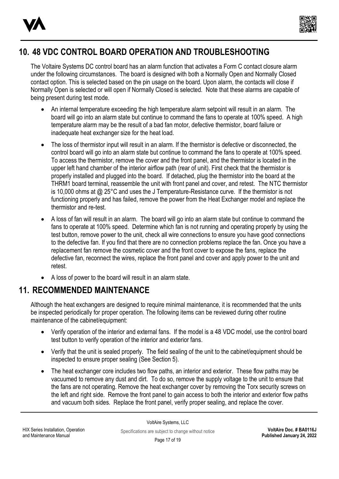



## **[10.](#page-1-8) 48 VDC CONTROL BOARD OPERATION AND TROUBLESHOOTING**

The Voltaire Systems DC control board has an alarm function that activates a Form C contact closure alarm under the following circumstances. The board is designed with both a Normally Open and Normally Closed contact option. This is selected based on the pin usage on the board. Upon alarm, the contacts will close if Normally Open is selected or will open if Normally Closed is selected. Note that these alarms are capable of being present during test mode.

- An internal temperature exceeding the high temperature alarm setpoint will result in an alarm. The board will go into an alarm state but continue to command the fans to operate at 100% speed. A high temperature alarm may be the result of a bad fan motor, defective thermistor, board failure or inadequate heat exchanger size for the heat load.
- The loss of thermistor input will result in an alarm. If the thermistor is defective or disconnected, the control board will go into an alarm state but continue to command the fans to operate at 100% speed. To access the thermistor, remove the cover and the front panel, and the thermistor is located in the upper left hand chamber of the interior airflow path (rear of unit). First check that the thermistor is properly installed and plugged into the board. If detached, plug the thermistor into the board at the THRM1 board terminal, reassemble the unit with front panel and cover, and retest. The NTC thermistor is 10,000 ohms at @ 25°C and uses the J Temperature-Resistance curve. If the thermistor is not functioning properly and has failed, remove the power from the Heat Exchanger model and replace the thermistor and re-test.
- A loss of fan will result in an alarm. The board will go into an alarm state but continue to command the fans to operate at 100% speed. Determine which fan is not running and operating properly by using the test button, remove power to the unit, check all wire connections to ensure you have good connections to the defective fan. If you find that there are no connection problems replace the fan. Once you have a replacement fan remove the cosmetic cover and the front cover to expose the fans, replace the defective fan, reconnect the wires, replace the front panel and cover and apply power to the unit and retest.
- A loss of power to the board will result in an alarm state.

### **11. RECOMMENDED MAINTENANCE**

Although the heat exchangers are designed to require minimal maintenance, it is recommended that the units be inspected periodically for proper operation. The following items can be reviewed during other routine maintenance of the cabinet/equipment:

- Verify operation of the interior and external fans. If the model is a 48 VDC model, use the control board test button to verify operation of the interior and exterior fans.
- Verify that the unit is sealed properly. The field sealing of the unit to the cabinet/equipment should be inspected to ensure proper sealing (See Section 5).
- The heat exchanger core includes two flow paths, an interior and exterior. These flow paths may be vacuumed to remove any dust and dirt. To do so, remove the supply voltage to the unit to ensure that the fans are not operating. Remove the heat exchanger cover by removing the Torx security screws on the left and right side. Remove the front panel to gain access to both the interior and exterior flow paths and vacuum both sides. Replace the front panel, verify proper sealing, and replace the cover.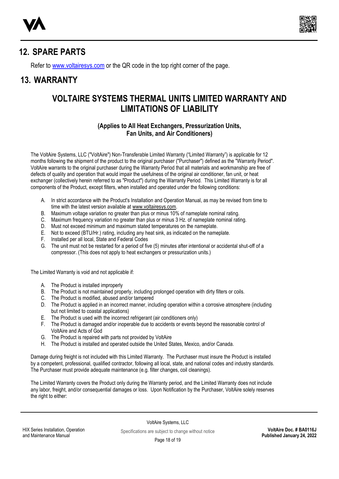



### **[12.](#page-1-9) SPARE PARTS**

Refer t[o www.voltairesys.com](http://www.voltairesys.com/) or the QR code in the top right corner of the page.

### **[13.](#page-1-10) WARRANTY**

### **VOLTAIRE SYSTEMS THERMAL UNITS LIMITED WARRANTY AND LIMITATIONS OF LIABILITY**

#### **(Applies to All Heat Exchangers, Pressurization Units, Fan Units, and Air Conditioners)**

The VoltAire Systems, LLC ("VoltAire") Non-Transferable Limited Warranty ("Limited Warranty") is applicable for 12 months following the shipment of the product to the original purchaser ("Purchaser") defined as the "Warranty Period". VoltAire warrants to the original purchaser during the Warranty Period that all materials and workmanship are free of defects of quality and operation that would impair the usefulness of the original air conditioner, fan unit, or heat exchanger (collectively herein referred to as "Product") during the Warranty Period. This Limited Warranty is for all components of the Product, except filters, when installed and operated under the following conditions:

- A. In strict accordance with the Product's Installation and Operation Manual, as may be revised from time to time with the latest version available at www.voltairesys.com.
- B. Maximum voltage variation no greater than plus or minus 10% of nameplate nominal rating.
- C. Maximum frequency variation no greater than plus or minus 3 Hz. of nameplate nominal rating.
- D. Must not exceed minimum and maximum stated temperatures on the nameplate.
- E. Not to exceed (BTU/Hr.) rating, including any heat sink, as indicated on the nameplate.
- F. Installed per all local, State and Federal Codes
- G. The unit must not be restarted for a period of five (5) minutes after intentional or accidental shut-off of a compressor. (This does not apply to heat exchangers or pressurization units.)

The Limited Warranty is void and not applicable if:

- A. The Product is installed improperly
- B. The Product is not maintained properly, including prolonged operation with dirty filters or coils.
- C. The Product is modified, abused and/or tampered
- D. The Product is applied in an incorrect manner, including operation within a corrosive atmosphere (including but not limited to coastal applications)
- E. The Product is used with the incorrect refrigerant (air conditioners only)
- F. The Product is damaged and/or inoperable due to accidents or events beyond the reasonable control of VoltAire and Acts of God
- G. The Product is repaired with parts not provided by VoltAire
- H. The Product is installed and operated outside the United States, Mexico, and/or Canada.

Damage during freight is not included with this Limited Warranty. The Purchaser must insure the Product is installed by a competent, professional, qualified contractor, following all local, state, and national codes and industry standards. The Purchaser must provide adequate maintenance (e.g. filter changes, coil cleanings).

The Limited Warranty covers the Product only during the Warranty period, and the Limited Warranty does not include any labor, freight, and/or consequential damages or loss. Upon Notification by the Purchaser, VoltAire solely reserves the right to either: